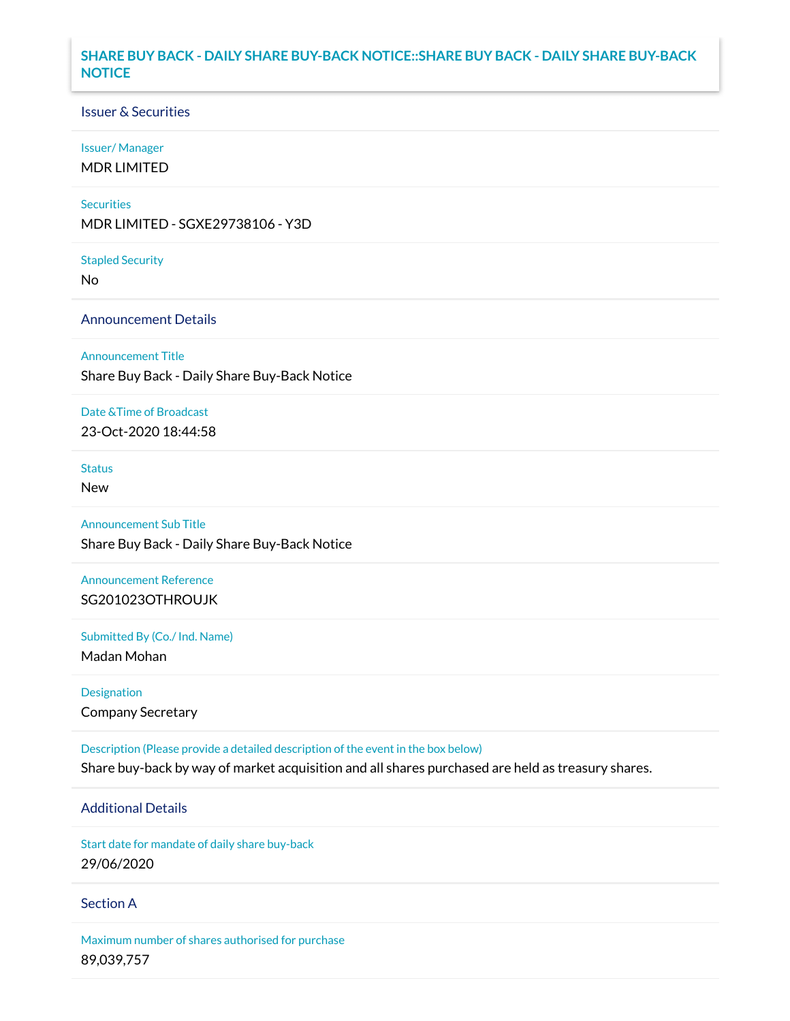# **SHARE BUY BACK - DAILY SHARE BUY-BACK NOTICE::SHARE BUY BACK - DAILY SHARE BUY-BACK NOTICE**

### Issuer & Securities

#### Issuer/ Manager

MDR LIMITED

#### **Securities**

MDR LIMITED - SGXE29738106 - Y3D

#### Stapled Security

No

## Announcement Details

Announcement Title

Share Buy Back - Daily Share Buy-Back Notice

# Date &Time of Broadcast

23-Oct-2020 18:44:58

# Status

New

## Announcement Sub Title

Share Buy Back - Daily Share Buy-Back Notice

# Announcement Reference SG201023OTHROUJK

Submitted By (Co./ Ind. Name)

Madan Mohan

Designation Company Secretary

Description (Please provide a detailed description of the event in the box below) Share buy-back by way of market acquisition and all shares purchased are held as treasury shares.

# Additional Details

Start date for mandate of daily share buy-back 29/06/2020

### Section A

Maximum number of shares authorised for purchase 89,039,757